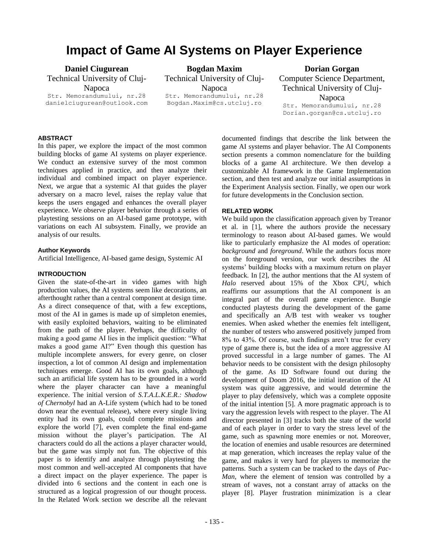# **Impact of Game AI Systems on Player Experience**

**Daniel Ciugurean**

Technical University of Cluj-

Napoca Str. Memorandumului, nr.28 danielciugurean@outlook.com

**Bogdan Maxim** Technical University of Cluj-Napoca Str. Memorandumului, nr.28 Bogdan.Maxim@cs.utcluj.ro

**Dorian Gorgan** Computer Science Department, Technical University of Cluj-Napoca Str. Memorandumului, nr.28 Dorian.gorgan@cs.utcluj.ro

# **ABSTRACT**

In this paper, we explore the impact of the most common building blocks of game AI systems on player experience. We conduct an extensive survey of the most common techniques applied in practice, and then analyze their individual and combined impact on player experience. Next, we argue that a systemic AI that guides the player adversary on a macro level, raises the replay value that keeps the users engaged and enhances the overall player experience. We observe player behavior through a series of playtesting sessions on an AI-based game prototype, with variations on each AI subsystem. Finally, we provide an analysis of our results.

# **Author Keywords**

Artificial Intelligence, AI-based game design, Systemic AI

# **INTRODUCTION**

Given the state-of-the-art in video games with high production values, the AI systems seem like decorations, an afterthought rather than a central component at design time. As a direct consequence of that, with a few exceptions, most of the AI in games is made up of simpleton enemies, with easily exploited behaviors, waiting to be eliminated from the path of the player. Perhaps, the difficulty of making a good game AI lies in the implicit question: "What makes a good game AI?" Even though this question has multiple incomplete answers, for every genre, on closer inspection, a lot of common AI design and implementation techniques emerge. Good AI has its own goals, although such an artificial life system has to be grounded in a world where the player character can have a meaningful experience. The initial version of *S.T.A.L.K.E.R.: Shadow of Chernobyl* had an A-Life system (which had to be toned down near the eventual release), where every single living entity had its own goals, could complete missions and explore the world [7], even complete the final end-game mission without the player's participation. The AI characters could do all the actions a player character would, but the game was simply not fun. The objective of this paper is to identify and analyze through playtesting the most common and well-accepted AI components that have a direct impact on the player experience. The paper is divided into 6 sections and the content in each one is structured as a logical progression of our thought process. In the Related Work section we describe all the relevant

documented findings that describe the link between the game AI systems and player behavior. The AI Components section presents a common nomenclature for the building blocks of a game AI architecture. We then develop a customizable AI framework in the Game Implementation section, and then test and analyze our initial assumptions in the Experiment Analysis section. Finally, we open our work for future developments in the Conclusion section.

# **RELATED WORK**

We build upon the classification approach given by Treanor et al. in [1], where the authors provide the necessary terminology to reason about AI-based games. We would like to particularly emphasize the AI modes of operation: *background* and *foreground*. While the authors focus more on the foreground version, our work describes the AI systems' building blocks with a maximum return on player feedback. In [2], the author mentions that the AI system of *Halo* reserved about 15% of the Xbox CPU, which reaffirms our assumptions that the AI component is an integral part of the overall game experience. Bungie conducted playtests during the development of the game and specifically an A/B test with weaker vs tougher enemies. When asked whether the enemies felt intelligent, the number of testers who answered positively jumped from 8% to 43%. Of course, such findings aren't true for every type of game there is, but the idea of a more aggressive AI proved successful in a large number of games. The AI behavior needs to be consistent with the design philosophy of the game. As ID Software found out during the development of Doom 2016, the initial iteration of the AI system was quite aggressive, and would determine the player to play defensively, which was a complete opposite of the initial intention [5]. A more pragmatic approach is to vary the aggression levels with respect to the player. The AI director presented in [3] tracks both the state of the world and of each player in order to vary the stress level of the game, such as spawning more enemies or not. Moreover, the location of enemies and usable resources are determined at map generation, which increases the replay value of the game, and makes it very hard for players to memorize the patterns. Such a system can be tracked to the days of *Pac-Man*, where the element of tension was controlled by a stream of waves, not a constant array of attacks on the player [8]. Player frustration minimization is a clear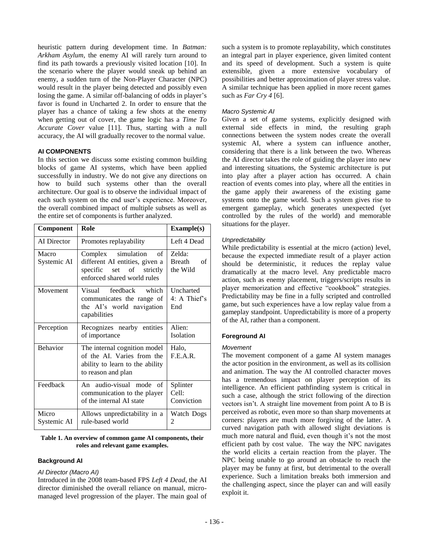heuristic pattern during development time. In *Batman: Arkham Asylum,* the enemy AI will rarely turn around to find its path towards a previously visited location [10]. In the scenario where the player would sneak up behind an enemy, a sudden turn of the Non-Player Character (NPC) would result in the player being detected and possibly even losing the game. A similar off-balancing of odds in player's favor is found in Uncharted 2. In order to ensure that the player has a chance of taking a few shots at the enemy when getting out of cover, the game logic has a *Time To Accurate Cover* value [11]. Thus, starting with a null accuracy, the AI will gradually recover to the normal value.

# **AI COMPONENTS**

In this section we discuss some existing common building blocks of game AI systems, which have been applied successfully in industry. We do not give any directions on how to build such systems other than the overall architecture. Our goal is to observe the individual impact of each such system on the end user's experience. Moreover, the overall combined impact of multiple subsets as well as the entire set of components is further analyzed.

| Component            | Role                                                                                                                  | Example(s)                                |
|----------------------|-----------------------------------------------------------------------------------------------------------------------|-------------------------------------------|
| AI Director          | Promotes replayability                                                                                                | Left 4 Dead                               |
| Macro<br>Systemic AI | Complex simulation<br>of<br>different AI entities, given a<br>specific set of strictly<br>enforced shared world rules | Zelda:<br><b>Breath</b><br>of<br>the Wild |
| Movement             | Visual feedback which<br>communicates the range of<br>the AI's world navigation<br>capabilities                       | Uncharted<br>4: A Thief's<br>End          |
| Perception           | Recognizes nearby entities<br>of importance                                                                           | Alien:<br>Isolation                       |
| <b>Behavior</b>      | The internal cognition model<br>of the AI. Varies from the<br>ability to learn to the ability<br>to reason and plan   | Halo,<br>F.E.A.R.                         |
| Feedback             | An audio-visual mode of<br>communication to the player<br>of the internal AI state                                    | Splinter<br>Cell:<br>Conviction           |
| Micro<br>Systemic AI | Allows unpredictability in a<br>rule-based world                                                                      | Watch Dogs<br>2                           |

#### **Table 1. An overview of common game AI components, their roles and relevant game examples.**

# **Background AI**

## *AI Director (Macro AI)*

Introduced in the 2008 team-based FPS *Left 4 Dead*, the AI director diminished the overall reliance on manual, micromanaged level progression of the player. The main goal of such a system is to promote replayability, which constitutes an integral part in player experience, given limited content and its speed of development. Such a system is quite extensible, given a more extensive vocabulary of possibilities and better approximation of player stress value. A similar technique has been applied in more recent games such as *Far Cry 4* [6].

# *Macro Systemic AI*

Given a set of game systems, explicitly designed with external side effects in mind, the resulting graph connections between the system nodes create the overall systemic AI, where a system can influence another, considering that there is a link between the two. Whereas the AI director takes the role of guiding the player into new and interesting situations, the Systemic architecture is put into play after a player action has occurred. A chain reaction of events comes into play, where all the entities in the game apply their awareness of the existing game systems onto the game world. Such a system gives rise to emergent gameplay, which generates unexpected (yet controlled by the rules of the world) and memorable situations for the player.

# *Unpredictability*

While predictability is essential at the micro (action) level, because the expected immediate result of a player action should be deterministic, it reduces the replay value dramatically at the macro level. Any predictable macro action, such as enemy placement, triggers/scripts results in player memorization and effective "cookbook" strategies. Predictability may be fine in a fully scripted and controlled game, but such experiences have a low replay value from a gameplay standpoint. Unpredictability is more of a property of the AI, rather than a component.

# **Foreground AI**

# *Movement*

The movement component of a game AI system manages the actor position in the environment, as well as its collision and animation. The way the AI controlled character moves has a tremendous impact on player perception of its intelligence. An efficient pathfinding system is critical in such a case, although the strict following of the direction vectors isn't. A straight line movement from point A to B is perceived as robotic, even more so than sharp movements at corners: players are much more forgiving of the latter. A curved navigation path with allowed slight deviations is much more natural and fluid, even though it's not the most efficient path by cost value. The way the NPC navigates the world elicits a certain reaction from the player. The NPC being unable to go around an obstacle to reach the player may be funny at first, but detrimental to the overall experience. Such a limitation breaks both immersion and the challenging aspect, since the player can and will easily exploit it.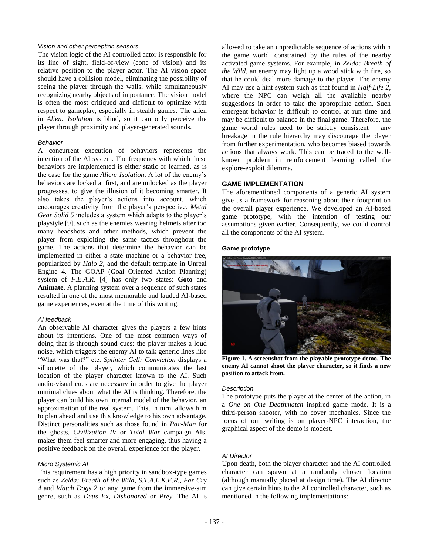# *Vision and other perception sensors*

The vision logic of the AI controlled actor is responsible for its line of sight, field-of-view (cone of vision) and its relative position to the player actor. The AI vision space should have a collision model, eliminating the possibility of seeing the player through the walls, while simultaneously recognizing nearby objects of importance. The vision model is often the most critiqued and difficult to optimize with respect to gameplay, especially in stealth games. The alien in *Alien: Isolation* is blind, so it can only perceive the player through proximity and player-generated sounds.

## *Behavior*

A concurrent execution of behaviors represents the intention of the AI system. The frequency with which these behaviors are implemented is either static or learned, as is the case for the game *Alien: Isolation*. A lot of the enemy's behaviors are locked at first, and are unlocked as the player progresses, to give the illusion of it becoming smarter. It also takes the player's actions into account, which encourages creativity from the player's perspective. *Metal Gear Solid 5* includes a system which adapts to the player's playstyle [9], such as the enemies wearing helmets after too many headshots and other methods, which prevent the player from exploiting the same tactics throughout the game. The actions that determine the behavior can be implemented in either a state machine or a behavior tree, popularized by *Halo 2*, and the default template in Unreal Engine 4. The GOAP (Goal Oriented Action Planning) system of *F.E.A.R.* [4] has only two states: **Goto** and **Animate**. A planning system over a sequence of such states resulted in one of the most memorable and lauded AI-based game experiences, even at the time of this writing.

#### *AI feedback*

An observable AI character gives the players a few hints about its intentions. One of the most common ways of doing that is through sound cues: the player makes a loud noise, which triggers the enemy AI to talk generic lines like "What was that?" etc. *Splinter Cell: Conviction* displays a silhouette of the player, which communicates the last location of the player character known to the AI. Such audio-visual cues are necessary in order to give the player minimal clues about what the AI is thinking. Therefore, the player can build his own internal model of the behavior, an approximation of the real system. This, in turn, allows him to plan ahead and use this knowledge to his own advantage. Distinct personalities such as those found in *Pac-Man* for the ghosts, *Civilization IV* or *Total War* campaign AIs, makes them feel smarter and more engaging, thus having a positive feedback on the overall experience for the player.

## *Micro Systemic AI*

This requirement has a high priority in sandbox-type games such as *Zelda: Breath of the Wild, S.T.A.L.K.E.R., Far Cry 4* and *Watch Dogs 2* or any game from the immersive-sim genre, such as *Deus Ex, Dishonored* or *Prey.* The AI is

allowed to take an unpredictable sequence of actions within the game world, constrained by the rules of the nearby activated game systems. For example, in *Zelda: Breath of the Wild*, an enemy may light up a wood stick with fire, so that he could deal more damage to the player. The enemy AI may use a hint system such as that found in *Half-Life 2*, where the NPC can weigh all the available nearby suggestions in order to take the appropriate action. Such emergent behavior is difficult to control at run time and may be difficult to balance in the final game. Therefore, the game world rules need to be strictly consistent – any breakage in the rule hierarchy may discourage the player from further experimentation, who becomes biased towards actions that always work. This can be traced to the wellknown problem in reinforcement learning called the explore-exploit dilemma.

#### **GAME IMPLEMENTATION**

The aforementioned components of a generic AI system give us a framework for reasoning about their footprint on the overall player experience. We developed an AI-based game prototype, with the intention of testing our assumptions given earlier. Consequently, we could control all the components of the AI system.

#### **Game prototype**



**Figure 1. A screenshot from the playable prototype demo. The enemy AI cannot shoot the player character, so it finds a new position to attack from.**

## *Description*

The prototype puts the player at the center of the action, in a *One on One Deathmatch* inspired game mode. It is a third-person shooter, with no cover mechanics. Since the focus of our writing is on player-NPC interaction, the graphical aspect of the demo is modest.

## *AI Director*

Upon death, both the player character and the AI controlled character can spawn at a randomly chosen location (although manually placed at design time). The AI director can give certain hints to the AI controlled character, such as mentioned in the following implementations: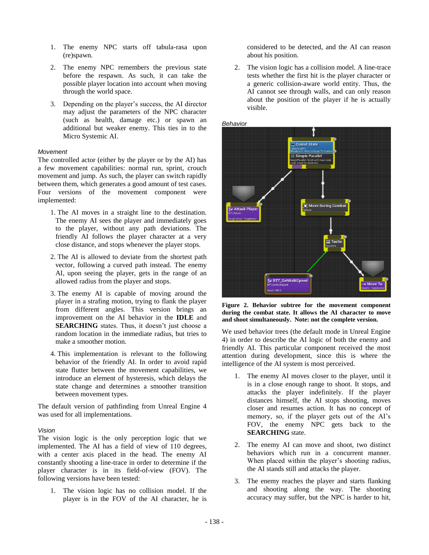- 1. The enemy NPC starts off tabula-rasa upon (re)spawn.
- 2. The enemy NPC remembers the previous state before the respawn. As such, it can take the possible player location into account when moving through the world space.
- 3. Depending on the player's success, the AI director may adjust the parameters of the NPC character (such as health, damage etc.) or spawn an additional but weaker enemy. This ties in to the Micro Systemic AI.

#### *Movement*

The controlled actor (either by the player or by the AI) has a few movement capabilities: normal run, sprint, crouch movement and jump. As such, the player can switch rapidly between them, which generates a good amount of test cases. Four versions of the movement component were implemented:

- 1. The AI moves in a straight line to the destination. The enemy AI sees the player and immediately goes to the player, without any path deviations. The friendly AI follows the player character at a very close distance, and stops whenever the player stops.
- 2. The AI is allowed to deviate from the shortest path vector, following a curved path instead. The enemy AI, upon seeing the player, gets in the range of an allowed radius from the player and stops.
- 3. The enemy AI is capable of moving around the player in a strafing motion, trying to flank the player from different angles. This version brings an improvement on the AI behavior in the **IDLE** and **SEARCHING** states. Thus, it doesn't just choose a random location in the immediate radius, but tries to make a smoother motion.
- 4. This implementation is relevant to the following behavior of the friendly AI. In order to avoid rapid state flutter between the movement capabilities, we introduce an element of hysteresis, which delays the state change and determines a smoother transition between movement types.

The default version of pathfinding from Unreal Engine 4 was used for all implementations.

#### *Vision*

The vision logic is the only perception logic that we implemented. The AI has a field of view of 110 degrees, with a center axis placed in the head. The enemy AI constantly shooting a line-trace in order to determine if the player character is in its field-of-view (FOV). The following versions have been tested:

1. The vision logic has no collision model. If the player is in the FOV of the AI character, he is considered to be detected, and the AI can reason about his position.

2. The vision logic has a collision model. A line-trace tests whether the first hit is the player character or a generic collision-aware world entity. Thus, the AI cannot see through walls, and can only reason about the position of the player if he is actually visible.



**Figure 2. Behavior subtree for the movement component during the combat state. It allows the AI character to move and shoot simultaneously. Note: not the complete version.**

We used behavior trees (the default mode in Unreal Engine 4) in order to describe the AI logic of both the enemy and friendly AI. This particular component received the most attention during development, since this is where the intelligence of the AI system is most perceived.

- 1. The enemy AI moves closer to the player, until it is in a close enough range to shoot. It stops, and attacks the player indefinitely. If the player distances himself, the AI stops shooting, moves closer and resumes action. It has no concept of memory, so, if the player gets out of the AI's FOV, the enemy NPC gets back to the **SEARCHING** state.
- 2. The enemy AI can move and shoot, two distinct behaviors which run in a concurrent manner. When placed within the player's shooting radius, the AI stands still and attacks the player.
- 3. The enemy reaches the player and starts flanking and shooting along the way. The shooting accuracy may suffer, but the NPC is harder to hit,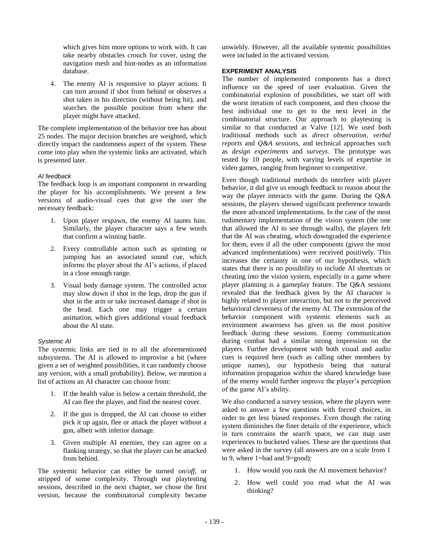which gives him more options to work with. It can take nearby obstacles crouch for cover, using the navigation mesh and hint-nodes as an information database.

4. The enemy AI is responsive to player actions. It can turn around if shot from behind or observes a shot taken in his direction (without being hit), and searches the possible position from where the player might have attacked.

The complete implementation of the behavior tree has about 25 nodes. The major decision branches are weighted, which directly impact the randomness aspect of the system. These come into play when the systemic links are activated, which is presented later.

## *AI feedback*

The feedback loop is an important component in rewarding the player for his accomplishments. We present a few versions of audio-visual cues that give the user the necessary feedback:

- 1. Upon player respawn, the enemy AI taunts him. Similarly, the player character says a few words that confirm a winning battle.
- 2. Every controllable action such as sprinting or jumping has an associated sound cue, which informs the player about the AI's actions, if placed in a close enough range.
- 3. Visual body damage system. The controlled actor may slow down if shot in the legs, drop the gun if shot in the arm or take increased damage if shot in the head. Each one may trigger a certain animation, which gives additional visual feedback about the AI state.

## *Systemic AI*

The systemic links are tied in to all the aforementioned subsystems. The AI is allowed to improvise a bit (where given a set of weighted possibilities, it can randomly choose any version, with a small probability). Below, we mention a list of actions an AI character can choose from:

- 1. If the health value is below a certain threshold, the AI can flee the player, and find the nearest cover.
- 2. If the gun is dropped, the AI can choose to either pick it up again, flee or attack the player without a gun, albeit with inferior damage.
- 3. Given multiple AI enemies, they can agree on a flanking strategy, so that the player can be attacked from behind.

The systemic behavior can either be turned *on*/*off*, or stripped of some complexity. Through our playtesting sessions, described in the next chapter, we chose the first version, because the combinatorial complexity became unwieldy. However, all the available systemic possibilities were included in the activated version.

# **EXPERIMENT ANALYSIS**

The number of implemented components has a direct influence on the speed of user evaluation. Given the combinatorial explosion of possibilities, we start off with the worst iteration of each component, and then choose the best individual one to get to the next level in the combinatorial structure. Our approach to playtesting is similar to that conducted at Valve [12]. We used both traditional methods such as *direct observation, verbal reports* and *Q&A sessions*, and technical approaches such as *design experiments* and *surveys*. The prototype was tested by 10 people, with varying levels of expertise in video games, ranging from beginner to competitive.

Even though traditional methods do interfere with player behavior, it did give us enough feedback to reason about the way the player interacts with the game. During the Q&A sessions, the players showed significant preference towards the more advanced implementations. In the case of the most rudimentary implementation of the vision system (the one that allowed the AI to see through walls), the players felt that the AI was cheating, which downgraded the experience for them, even if all the other components (given the most advanced implementations) were received positively. This increases the certainty in one of our hypothesis, which states that there is no possibility to include AI shortcuts or cheating into the vision system, especially in a game where player planning is a gameplay feature. The Q&A sessions revealed that the feedback given by the AI character is highly related to player interaction, but not to the perceived behavioral cleverness of the enemy AI. The extension of the behavior component with systemic elements such as environment awareness has given us the most positive feedback during these sessions. Enemy communication during combat had a similar strong impression on the players. Further development with both visual and audio cues is required here (such as calling other members by unique names), our hypothesis being that natural information propagation within the shared knowledge base of the enemy would further improve the player's perception of the game AI's ability.

We also conducted a survey session, where the players were asked to answer a few questions with forced choices, in order to get less biased responses. Even though the rating system diminishes the finer details of the experience, which in turn constrains the search space, we can map user experiences to bucketed values. These are the questions that were asked in the survey (all answers are on a scale from 1 to 9, where 1=bad and 9=good):

- 1. How would you rank the AI movement behavior?
- 2. How well could you read what the AI was thinking?